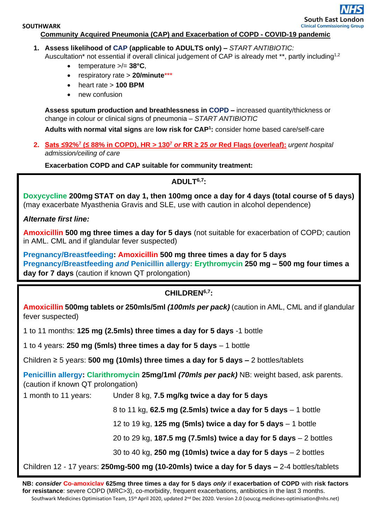### **Community Acquired Pneumonia (CAP) and Exacerbation of COPD - COVID-19 pandemic**

**1. Assess likelihood of CAP (applicable to ADULTS only) –** *START ANTIBIOTIC:*

Auscultation<sup>\*</sup> not essential if overall clinical judgement of CAP is already met \*\*, partly including<sup>1,2</sup>

- temperature >/= **38°C**,
- respiratory rate > **20/minute**\*\*\*
- heart rate > **100 BPM**
- new confusion

**Assess sputum production and breathlessness in COPD –** increased quantity/thickness or change in colour or clinical signs of pneumonia – *START ANTIBIOTIC*

**Adults with normal vital signs** are **low risk for CAP<sup>1</sup> :** consider home based care/self-care

**2. Sats ≤92%<sup>7</sup> (≤ 88% in COPD), HR > 130 <sup>7</sup>** *or* **RR ≥ 25** *or* **[Red Flags](https://www.nice.org.uk/guidance/ng165/chapter/3-Diagnosis-and-assessment) (overleaf):** *urgent hospital admission/ceiling of care*

**Exacerbation COPD and CAP suitable for community treatment:**

## **ADULT6,7:**

**Doxycycline 200mg STAT on day 1, then 100mg once a day for 4 days (total course of 5 days)**  (may exacerbate Myasthenia Gravis and SLE, use with caution in alcohol dependence)

*Alternate first line:*

**Amoxicillin 500 mg three times a day for 5 days** (not suitable for exacerbation of COPD; caution in AML. CML and if glandular fever suspected)

**Pregnancy/Breastfeeding: Amoxicillin 500 mg three times a day for 5 days Pregnancy/Breastfeeding** *and* **Penicillin allergy: Erythromycin 250 mg – 500 mg four times a day for 7 days** (caution if known QT prolongation)

## **CHILDREN6,7:**

**Amoxicillin 500mg tablets or 250mls/5ml** *(100mls per pack)* (caution in AML, CML and if glandular fever suspected)

1 to 11 months: **125 mg (2.5mls) three times a day for 5 days** -1 bottle

1 to 4 years: **250 mg (5mls) three times a day for 5 days** – 1 bottle

Children ≥ 5 years: **500 mg (10mls) three times a day for 5 days –** 2 bottles/tablets

**Penicillin allergy: Clarithromycin 25mg/1ml** *(70mls per pack)* NB: weight based, ask parents. (caution if known QT prolongation)

1 month to 11 years: Under 8 kg, **7.5 mg/kg twice a day for 5 days**

8 to 11 kg, **62.5 mg (2.5mls) twice a day for 5 days** – 1 bottle

12 to 19 kg, **125 mg (5mls) twice a day for 5 days** – 1 bottle

20 to 29 kg, **187.5 mg (7.5mls) twice a day for 5 days** – 2 bottles

30 to 40 kg, **250 mg (10mls) twice a day for 5 days** – 2 bottles

Children 12 - 17 years: **250mg-500 mg (10-20mls) twice a day for 5 days –** 2-4 bottles/tablets

Southwark Medicines Optimisation Team, 15<sup>th</sup> April 2020, updated 2<sup>nd</sup> Dec 2020. Version 2.0 (souccg.medicines-optimisation@nhs.net) **NB:** *consider* **Co-amoxiclav 625mg three times a day for 5 days** *only* if **exacerbation of COPD** with **risk factors for resistance**: severe COPD (MRC>3), co-morbidity, frequent exacerbations, antibiotics in the last 3 months.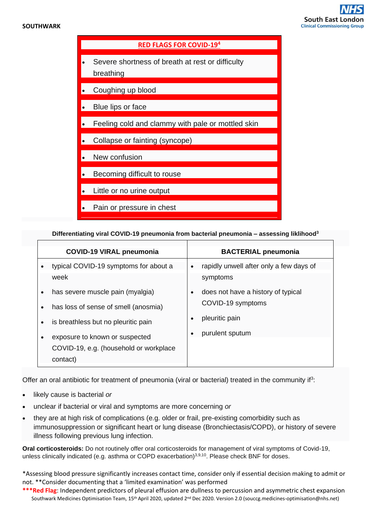#### **SOUTHWARK**





**Differentiating viral COVID-19 pneumonia from bacterial pneumonia – assessing liklihood<sup>3</sup>**

| <b>COVID-19 VIRAL pneumonia</b>                   | <b>BACTERIAL pneumonia</b>                           |
|---------------------------------------------------|------------------------------------------------------|
| typical COVID-19 symptoms for about a             | rapidly unwell after only a few days of<br>$\bullet$ |
| week                                              | symptoms                                             |
| has severe muscle pain (myalgia)<br>$\bullet$     | does not have a history of typical                   |
| has loss of sense of smell (anosmia)<br>$\bullet$ | COVID-19 symptoms                                    |
| is breathless but no pleuritic pain<br>$\bullet$  | pleuritic pain                                       |
| exposure to known or suspected<br>$\bullet$       | purulent sputum                                      |
| COVID-19, e.g. (household or workplace            |                                                      |
| contact)                                          |                                                      |

Offer an oral antibiotic for treatment of pneumonia (viral or bacterial) treated in the community if<sup>3</sup>:

- likely cause is bacterial *or*
- unclear if bacterial or viral and symptoms are more concerning *or*
- they are at high risk of complications (e.g. older or frail, pre-existing comorbidity such as immunosuppression or significant heart or lung disease (Bronchiectasis/COPD), or history of severe illness following previous lung infection.

**Oral corticosteroids:** Do not routinely offer oral corticosteroids for management of viral symptoms of Covid-19, unless clinically indicated (e.g. asthma or COPD exacerbation) $3,9,10$ . Please check BNF for doses.

\*Assessing blood pressure significantly increases contact time, consider only if essential decision making to admit or not. \*\*Consider documenting that a 'limited examination' was performed

Southwark Medicines Optimisation Team, 15th April 2020, updated 2nd Dec 2020. Version 2.0 (souccg.medicines-optimisation@nhs.net) **\*\*\*Red Flag**: Independent predictors of pleural effusion are dullness to percussion and asymmetric chest expansion